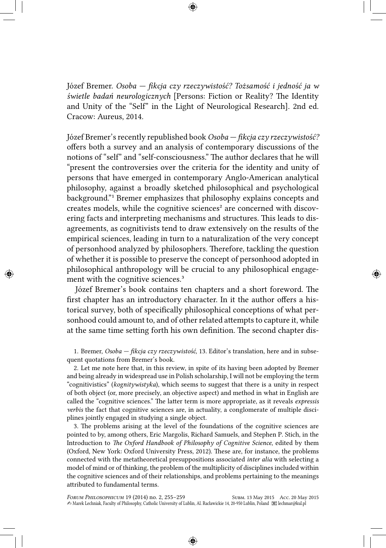Józef Bremer. *Osoba — fikcja czy rzeczywistość? Tożsamość i jedność ja w świetle badań neurologicznych* [Persons: Fiction or Reality? The Identity and Unity of the "Self" in the Light of Neurological Research]. 2nd ed. Cracow: Aureus, 2014.

Józef Bremer's recently republished book *Osoba — fikcja czy rzeczywistość?* offers both a survey and an analysis of contemporary discussions of the notions of "self" and "self-consciousness." The author declares that he will "present the controversies over the criteria for the identity and unity of persons that have emerged in contemporary Anglo-American analytical philosophy, against a broadly sketched philosophical and psychological background."<sup>1</sup> Bremer emphasizes that philosophy explains concepts and creates models, while the cognitive sciences² are concerned with discovering facts and interpreting mechanisms and structures. This leads to disagreements, as cognitivists tend to draw extensively on the results of the empirical sciences, leading in turn to a naturalization of the very concept of personhood analyzed by philosophers. Therefore, tackling the question of whether it is possible to preserve the concept of personhood adopted in philosophical anthropology will be crucial to any philosophical engagement with the cognitive sciences.<sup>3</sup>

Józef Bremer's book contains ten chapters and a short foreword. The first chapter has an introductory character. In it the author offers a historical survey, both of specifically philosophical conceptions of what personhood could amount to, and of other related attempts to capture it, while at the same time setting forth his own definition. The second chapter dis-

1. Bremer, *Osoba — fikcja czy rzeczywistość*, 13. Editor's translation, here and in subsequent quotations from Bremer's book.

2. Let me note here that, in this review, in spite of its having been adopted by Bremer and being already in widespread use in Polish scholarship, I will not be employing the term "cognitivistics" (*kognitywistyka*), which seems to suggest that there is a unity in respect of both object (or, more precisely, an objective aspect) and method in what in English are called the "cognitive sciences." The latter term is more appropriate, as it reveals *expressis verbis* the fact that cognitive sciences are, in actuality, a conglomerate of multiple disciplines jointly engaged in studying a single object.

3. The problems arising at the level of the foundations of the cognitive sciences are pointed to by, among others, Eric Margolis, Richard Samuels, and Stephen P. Stich, in the Introduction to *The Oxford Handbook of Philosophy of Cognitive Science*, edited by them (Oxford, New York: Oxford University Press, 2012). These are, for instance, the problems connected with the metatheoretical presuppositions associated *inter alia* with selecting a model of mind or of thinking, the problem of the multiplicity of disciplines included within the cognitive sciences and of their relationships, and problems pertaining to the meanings attributed to fundamental terms.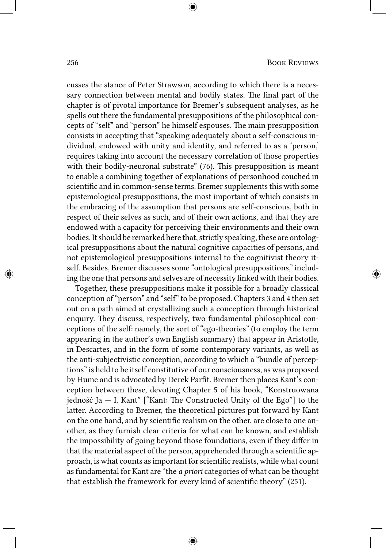cusses the stance of Peter Strawson, according to which there is a necessary connection between mental and bodily states. The final part of the chapter is of pivotal importance for Bremer's subsequent analyses, as he spells out there the fundamental presuppositions of the philosophical concepts of "self" and "person" he himself espouses. The main presupposition consists in accepting that "speaking adequately about a self-conscious individual, endowed with unity and identity, and referred to as a 'person,' requires taking into account the necessary correlation of those properties with their bodily-neuronal substrate" (76). This presupposition is meant to enable a combining together of explanations of personhood couched in scientific and in common-sense terms. Bremer supplements this with some epistemological presuppositions, the most important of which consists in the embracing of the assumption that persons are self-conscious, both in respect of their selves as such, and of their own actions, and that they are endowed with a capacity for perceiving their environments and their own bodies.It should be remarked here that, strictly speaking, these are ontological presuppositions about the natural cognitive capacities of persons, and not epistemological presuppositions internal to the cognitivist theory itself. Besides, Bremer discusses some "ontological presuppositions," including the one that persons and selves are of necessity linked with their bodies.

Together, these presuppositions make it possible for a broadly classical conception of "person" and "self" to be proposed. Chapters 3 and 4 then set out on a path aimed at crystallizing such a conception through historical enquiry. They discuss, respectively, two fundamental philosophical conceptions of the self: namely, the sort of "ego-theories" (to employ the term appearing in the author's own English summary) that appear in Aristotle, in Descartes, and in the form of some contemporary variants, as well as the anti-subjectivistic conception, according to which a "bundle of perceptions" is held to be itself constitutive of our consciousness, as was proposed by Hume and is advocated by Derek Parfit. Bremer then places Kant's conception between these, devoting Chapter 5 of his book, "Konstruowana jedność Ja – I. Kant" ["Kant: The Constructed Unity of the Ego"] to the latter. According to Bremer, the theoretical pictures put forward by Kant on the one hand, and by scientific realism on the other, are close to one another, as they furnish clear criteria for what can be known, and establish the impossibility of going beyond those foundations, even if they differ in that the material aspect of the person, apprehended through a scientific approach, is what counts as important for scientific realists, while what count as fundamental for Kant are "the *a priori* categories of what can be thought that establish the framework for every kind of scientific theory" (251).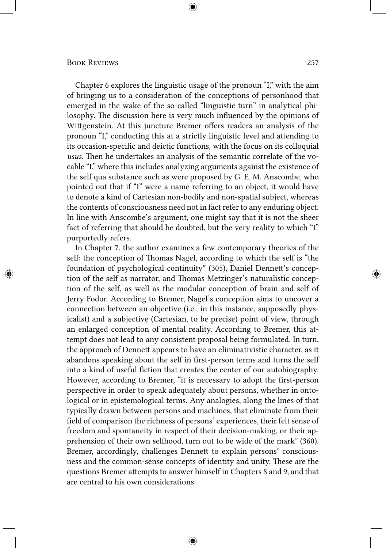Chapter 6 explores the linguistic usage of the pronoun "I," with the aim of bringing us to a consideration of the conceptions of personhood that emerged in the wake of the so-called "linguistic turn" in analytical philosophy. The discussion here is very much influenced by the opinions of Wittgenstein. At this juncture Bremer offers readers an analysis of the pronoun "I," conducting this at a strictly linguistic level and attending to its occasion-specific and deictic functions, with the focus on its colloquial *usus*. Then he undertakes an analysis of the semantic correlate of the vocable "I," where this includes analyzing arguments against the existence of the self qua substance such as were proposed by G. E. M. Anscombe, who pointed out that if "I" were a name referring to an object, it would have to denote a kind of Cartesian non-bodily and non-spatial subject, whereas the contents of consciousness need not in fact refer to any enduring object. In line with Anscombe's argument, one might say that it is not the sheer fact of referring that should be doubted, but the very reality to which "I" purportedly refers.

In Chapter 7, the author examines a few contemporary theories of the self: the conception of Thomas Nagel, according to which the self is "the foundation of psychological continuity" (305), Daniel Dennett's conception of the self as narrator, and Thomas Metzinger's naturalistic conception of the self, as well as the modular conception of brain and self of Jerry Fodor. According to Bremer, Nagel's conception aims to uncover a connection between an objective (i.e., in this instance, supposedly physicalist) and a subjective (Cartesian, to be precise) point of view, through an enlarged conception of mental reality. According to Bremer, this attempt does not lead to any consistent proposal being formulated. In turn, the approach of Dennett appears to have an eliminativistic character, as it abandons speaking about the self in first-person terms and turns the self into a kind of useful fiction that creates the center of our autobiography. However, according to Bremer, "it is necessary to adopt the first-person perspective in order to speak adequately about persons, whether in ontological or in epistemological terms. Any analogies, along the lines of that typically drawn between persons and machines, that eliminate from their field of comparison the richness of persons' experiences, their felt sense of freedom and spontaneity in respect of their decision-making, or their apprehension of their own selfhood, turn out to be wide of the mark" (360). Bremer, accordingly, challenges Dennett to explain persons' consciousness and the common-sense concepts of identity and unity. These are the questions Bremer attempts to answer himself in Chapters 8 and 9, and that are central to his own considerations.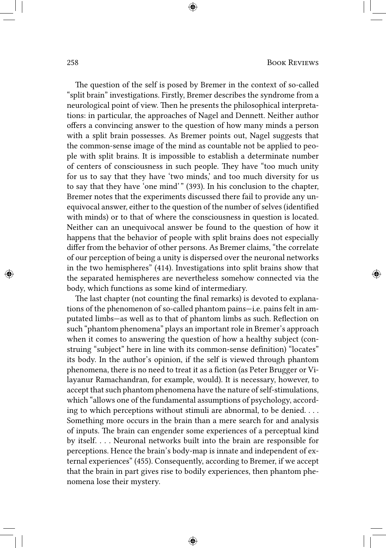The question of the self is posed by Bremer in the context of so-called "split brain" investigations. Firstly, Bremer describes the syndrome from a neurological point of view. Then he presents the philosophical interpretations: in particular, the approaches of Nagel and Dennett. Neither author offers a convincing answer to the question of how many minds a person with a split brain possesses. As Bremer points out, Nagel suggests that the common-sense image of the mind as countable not be applied to people with split brains. It is impossible to establish a determinate number of centers of consciousness in such people. They have "too much unity for us to say that they have 'two minds,' and too much diversity for us to say that they have 'one mind' " (393). In his conclusion to the chapter, Bremer notes that the experiments discussed there fail to provide any unequivocal answer, either to the question of the number of selves (identified with minds) or to that of where the consciousness in question is located. Neither can an unequivocal answer be found to the question of how it happens that the behavior of people with split brains does not especially differ from the behavior of other persons. As Bremer claims, "the correlate of our perception of being a unity is dispersed over the neuronal networks in the two hemispheres" (414). Investigations into split brains show that the separated hemispheres are nevertheless somehow connected via the body, which functions as some kind of intermediary.

The last chapter (not counting the final remarks) is devoted to explanations of the phenomenon of so-called phantom pains—i.e. pains felt in amputated limbs—as well as to that of phantom limbs as such. Reflection on such "phantom phenomena" plays an important role in Bremer's approach when it comes to answering the question of how a healthy subject (construing "subject" here in line with its common-sense definition) "locates" its body. In the author's opinion, if the self is viewed through phantom phenomena, there is no need to treat it as a fiction (as Peter Brugger or Vilayanur Ramachandran, for example, would). It is necessary, however, to accept that such phantom phenomena have the nature of self-stimulations, which "allows one of the fundamental assumptions of psychology, according to which perceptions without stimuli are abnormal, to be denied. . . . Something more occurs in the brain than a mere search for and analysis of inputs. The brain can engender some experiences of a perceptual kind by itself. . . . Neuronal networks built into the brain are responsible for perceptions. Hence the brain's body-map is innate and independent of external experiences" (455). Consequently, according to Bremer, if we accept that the brain in part gives rise to bodily experiences, then phantom phenomena lose their mystery.